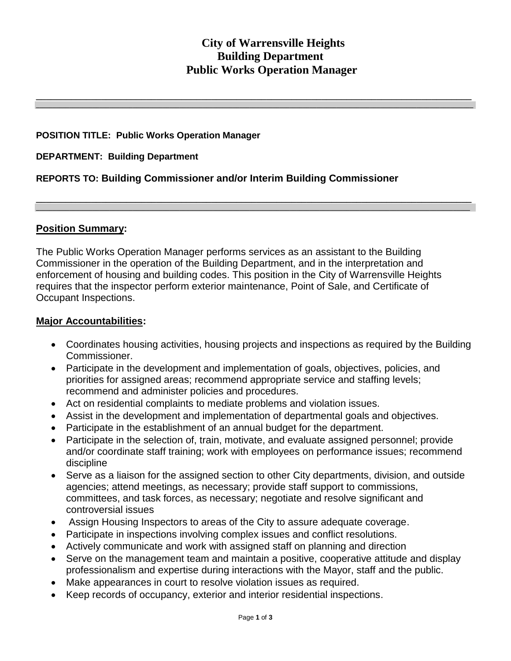# **City of Warrensville Heights Building Department Public Works Operation Manager**

**\_\_\_\_\_\_\_\_\_\_\_\_\_\_\_\_\_\_\_\_\_\_\_\_\_\_\_\_\_\_\_\_\_\_\_\_\_\_\_\_\_\_\_\_\_\_\_\_\_\_\_\_\_\_\_\_\_\_\_\_\_\_\_\_\_\_\_\_\_\_\_\_\_\_\_\_\_\_\_\_\_\_\_\_\_\_\_ \_\_\_\_\_\_\_\_\_\_\_\_\_\_\_\_\_\_\_\_\_\_\_\_\_\_\_\_\_\_\_\_\_\_\_\_\_\_\_\_\_\_\_\_\_\_\_\_\_\_\_\_\_\_\_\_\_\_\_\_\_\_\_\_\_\_\_\_\_\_\_\_\_\_\_\_\_\_\_\_\_\_\_\_\_\_\_\_\_\_\_\_\_\_\_\_\_\_\_\_\_\_\_\_\_\_\_\_\_\_\_\_\_\_\_\_\_\_\_\_\_\_\_\_\_\_\_\_\_\_\_**

**\_\_\_\_\_\_\_\_\_\_\_\_\_\_\_\_\_\_\_\_\_\_\_\_\_\_\_\_\_\_\_\_\_\_\_\_\_\_\_\_\_\_\_\_\_\_\_\_\_\_\_\_\_\_\_\_\_\_\_\_\_\_\_\_\_\_\_\_\_\_\_\_\_\_\_\_\_\_\_\_\_\_\_\_\_\_\_ \_\_\_\_\_\_\_\_\_\_\_\_\_\_\_\_\_\_\_\_\_\_\_\_\_\_\_\_\_\_\_\_\_\_\_\_\_\_\_\_\_\_\_\_\_\_\_\_\_\_\_\_\_\_\_\_\_\_\_\_\_\_\_\_\_\_\_\_\_\_\_\_\_\_\_\_\_\_\_\_\_\_\_\_\_\_\_\_\_\_\_\_\_\_\_\_\_\_\_\_\_\_\_\_\_\_\_\_\_\_\_\_\_\_\_\_\_\_\_\_\_\_\_\_\_\_\_\_\_\_**

#### **POSITION TITLE: Public Works Operation Manager**

#### **DEPARTMENT: Building Department**

### **REPORTS TO: Building Commissioner and/or Interim Building Commissioner**

#### **Position Summary:**

The Public Works Operation Manager performs services as an assistant to the Building Commissioner in the operation of the Building Department, and in the interpretation and enforcement of housing and building codes. This position in the City of Warrensville Heights requires that the inspector perform exterior maintenance, Point of Sale, and Certificate of Occupant Inspections.

#### **Major Accountabilities:**

- Coordinates housing activities, housing projects and inspections as required by the Building Commissioner.
- Participate in the development and implementation of goals, objectives, policies, and priorities for assigned areas; recommend appropriate service and staffing levels; recommend and administer policies and procedures.
- Act on residential complaints to mediate problems and violation issues.
- Assist in the development and implementation of departmental goals and objectives.
- Participate in the establishment of an annual budget for the department.
- Participate in the selection of, train, motivate, and evaluate assigned personnel; provide and/or coordinate staff training; work with employees on performance issues; recommend discipline
- Serve as a liaison for the assigned section to other City departments, division, and outside agencies; attend meetings, as necessary; provide staff support to commissions, committees, and task forces, as necessary; negotiate and resolve significant and controversial issues
- Assign Housing Inspectors to areas of the City to assure adequate coverage.
- Participate in inspections involving complex issues and conflict resolutions.
- Actively communicate and work with assigned staff on planning and direction
- Serve on the management team and maintain a positive, cooperative attitude and display professionalism and expertise during interactions with the Mayor, staff and the public.
- Make appearances in court to resolve violation issues as required.
- Keep records of occupancy, exterior and interior residential inspections.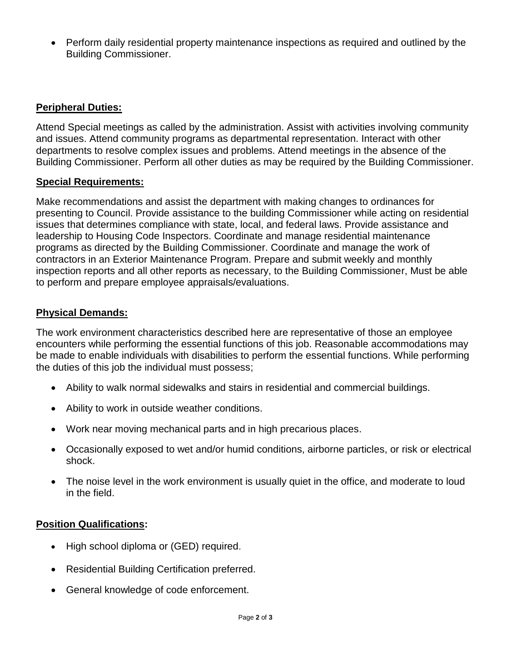Perform daily residential property maintenance inspections as required and outlined by the Building Commissioner.

# **Peripheral Duties:**

Attend Special meetings as called by the administration. Assist with activities involving community and issues. Attend community programs as departmental representation. Interact with other departments to resolve complex issues and problems. Attend meetings in the absence of the Building Commissioner. Perform all other duties as may be required by the Building Commissioner.

# **Special Requirements:**

Make recommendations and assist the department with making changes to ordinances for presenting to Council. Provide assistance to the building Commissioner while acting on residential issues that determines compliance with state, local, and federal laws. Provide assistance and leadership to Housing Code Inspectors. Coordinate and manage residential maintenance programs as directed by the Building Commissioner. Coordinate and manage the work of contractors in an Exterior Maintenance Program. Prepare and submit weekly and monthly inspection reports and all other reports as necessary, to the Building Commissioner, Must be able to perform and prepare employee appraisals/evaluations.

# **Physical Demands:**

The work environment characteristics described here are representative of those an employee encounters while performing the essential functions of this job. Reasonable accommodations may be made to enable individuals with disabilities to perform the essential functions. While performing the duties of this job the individual must possess;

- Ability to walk normal sidewalks and stairs in residential and commercial buildings.
- Ability to work in outside weather conditions.
- Work near moving mechanical parts and in high precarious places.
- Occasionally exposed to wet and/or humid conditions, airborne particles, or risk or electrical shock.
- The noise level in the work environment is usually quiet in the office, and moderate to loud in the field.

### **Position Qualifications:**

- High school diploma or (GED) required.
- Residential Building Certification preferred.
- General knowledge of code enforcement.